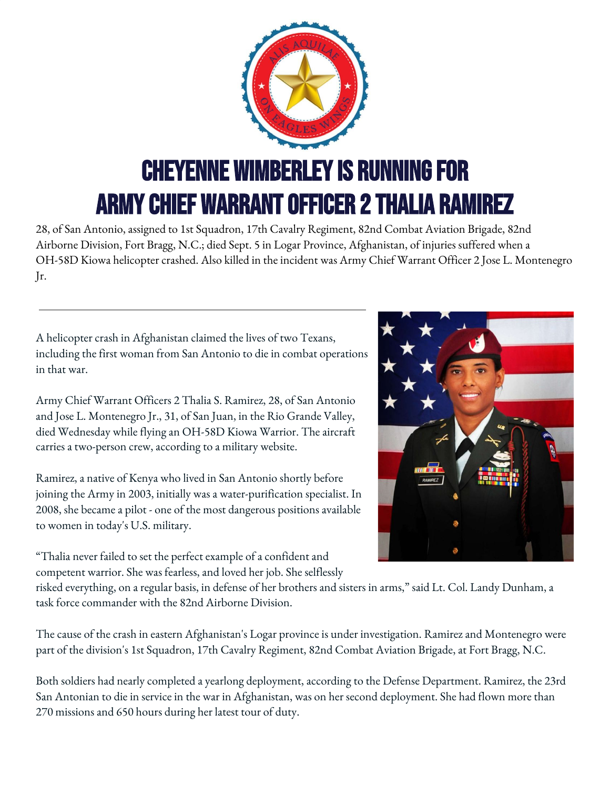

28, of San Antonio, assigned to 1st Squadron, 17th Cavalry Regiment, 82nd Combat Aviation Brigade, 82nd Airborne Division, Fort Bragg, N.C.; died Sept. 5 in Logar Province, Afghanistan, of injuries suffered when a OH-58D Kiowa helicopter crashed. Also killed in the incident was Army Chief Warrant Officer 2 Jose L. Montenegro Jr.

A helicopter crash in Afghanistan claimed the lives of two Texans, including the first woman from San Antonio to die in combat operations in that war.

Army Chief Warrant Officers 2 Thalia S. Ramirez, 28, of San Antonio and Jose L. Montenegro Jr., 31, of San Juan, in the Rio Grande Valley, died Wednesday while flying an OH-58D Kiowa Warrior. The aircraft carries a two-person crew, according to a military website.

Ramirez, a native of Kenya who lived in San Antonio shortly before joining the Army in 2003, initially was a water-purification specialist. In 2008, she became a pilot - one of the most dangerous positions available to women in today's U.S. military.

"Thalia never failed to set the perfect example of a confident and competent warrior. She was fearless, and loved her job. She selflessly



risked everything, on a regular basis, in defense of her brothers and sisters in arms," said Lt. Col. Landy Dunham, a task force commander with the 82nd Airborne Division.

The cause of the crash in eastern Afghanistan's Logar province is under investigation. Ramirez and Montenegro were part of the division's 1st Squadron, 17th Cavalry Regiment, 82nd Combat Aviation Brigade, at Fort Bragg, N.C.

Both soldiers had nearly completed a yearlong deployment, according to the Defense Department. Ramirez, the 23rd San Antonian to die in service in the war in Afghanistan, was on her second deployment. She had flown more than 270 missions and 650 hours during her latest tour of duty.